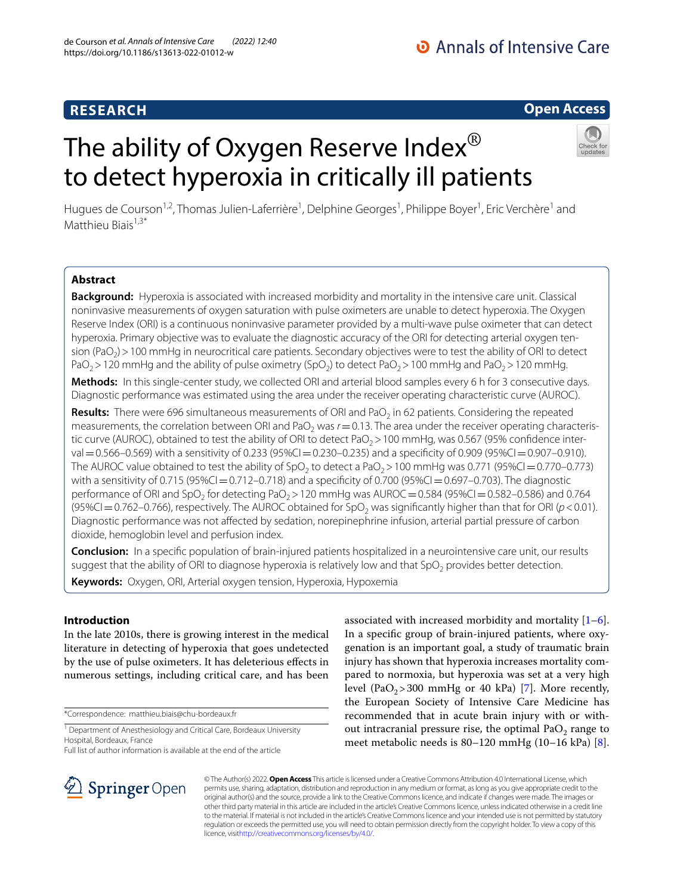# **RESEARCH**

# **Open Access**

# Hugues de Courson<sup>1,2</sup>, Thomas Julien-Laferrière<sup>1</sup>, Delphine Georges<sup>1</sup>, Philippe Boyer<sup>1</sup>, Eric Verchère<sup>1</sup> and Matthieu Biais $1,3^*$

to detect hyperoxia in critically ill patients

The ability of Oxygen Reserve Index<sup>®</sup>

### **Abstract**

**Background:** Hyperoxia is associated with increased morbidity and mortality in the intensive care unit. Classical noninvasive measurements of oxygen saturation with pulse oximeters are unable to detect hyperoxia. The Oxygen Reserve Index (ORI) is a continuous noninvasive parameter provided by a multi-wave pulse oximeter that can detect hyperoxia. Primary objective was to evaluate the diagnostic accuracy of the ORI for detecting arterial oxygen tension ( $PaO<sub>2</sub>$ ) > 100 mmHg in neurocritical care patients. Secondary objectives were to test the ability of ORI to detect  $PaO<sub>2</sub> > 120$  mmHg and the ability of pulse oximetry (SpO<sub>2</sub>) to detect PaO<sub>2</sub> > 100 mmHg and PaO<sub>2</sub> > 120 mmHg.

**Methods:** In this single-center study, we collected ORI and arterial blood samples every 6 h for 3 consecutive days. Diagnostic performance was estimated using the area under the receiver operating characteristic curve (AUROC).

Results: There were 696 simultaneous measurements of ORI and PaO<sub>2</sub> in 62 patients. Considering the repeated measurements, the correlation between ORI and PaO<sub>2</sub> was  $r = 0.13$ . The area under the receiver operating characteristic curve (AUROC), obtained to test the ability of ORI to detect PaO<sub>2</sub> > 100 mmHg, was 0.567 (95% confidence interval  $=0.566-0.569$ ) with a sensitivity of 0.233 (95%CI=0.230-0.235) and a specificity of 0.909 (95%CI=0.907–0.910). The AUROC value obtained to test the ability of SpO<sub>2</sub> to detect a PaO<sub>2</sub> > 100 mmHg was 0.771 (95%CI=0.770–0.773) with a sensitivity of 0.715 (95%CI=0.712–0.718) and a specificity of 0.700 (95%CI=0.697–0.703). The diagnostic performance of ORI and SpO<sub>2</sub> for detecting PaO<sub>2</sub> = 120 mmHg was AUROC = 0.584 (95%CI = 0.582–0.586) and 0.764  $(95\%CI = 0.762 - 0.766)$ , respectively. The AUROC obtained for SpO<sub>2</sub> was significantly higher than that for ORI ( $p < 0.01$ ). Diagnostic performance was not afected by sedation, norepinephrine infusion, arterial partial pressure of carbon dioxide, hemoglobin level and perfusion index.

**Conclusion:** In a specifc population of brain-injured patients hospitalized in a neurointensive care unit, our results suggest that the ability of ORI to diagnose hyperoxia is relatively low and that  $SpO<sub>2</sub>$  provides better detection. **Keywords:** Oxygen, ORI, Arterial oxygen tension, Hyperoxia, Hypoxemia

### **Introduction**

In the late 2010s, there is growing interest in the medical literature in detecting of hyperoxia that goes undetected by the use of pulse oximeters. It has deleterious efects in numerous settings, including critical care, and has been

\*Correspondence: matthieu.biais@chu-bordeaux.fr

Full list of author information is available at the end of the article

associated with increased morbidity and mortality  $[1-6]$  $[1-6]$ . In a specifc group of brain-injured patients, where oxygenation is an important goal, a study of traumatic brain injury has shown that hyperoxia increases mortality compared to normoxia, but hyperoxia was set at a very high level  $(PaO<sub>2</sub>>300$  mmHg or 40 kPa) [\[7](#page-7-2)]. More recently, the European Society of Intensive Care Medicine has recommended that in acute brain injury with or without intracranial pressure rise, the optimal  $PaO<sub>2</sub>$  range to meet metabolic needs is 80–120 mmHg (10–16 kPa) [\[8](#page-7-3)].



© The Author(s) 2022. **Open Access** This article is licensed under a Creative Commons Attribution 4.0 International License, which permits use, sharing, adaptation, distribution and reproduction in any medium or format, as long as you give appropriate credit to the original author(s) and the source, provide a link to the Creative Commons licence, and indicate if changes were made. The images or other third party material in this article are included in the article's Creative Commons licence, unless indicated otherwise in a credit line to the material. If material is not included in the article's Creative Commons licence and your intended use is not permitted by statutory regulation or exceeds the permitted use, you will need to obtain permission directly from the copyright holder. To view a copy of this licence, visi[thttp://creativecommons.org/licenses/by/4.0/](http://creativecommons.org/licenses/by/4.0/).

<sup>&</sup>lt;sup>1</sup> Department of Anesthesiology and Critical Care, Bordeaux University Hospital, Bordeaux, France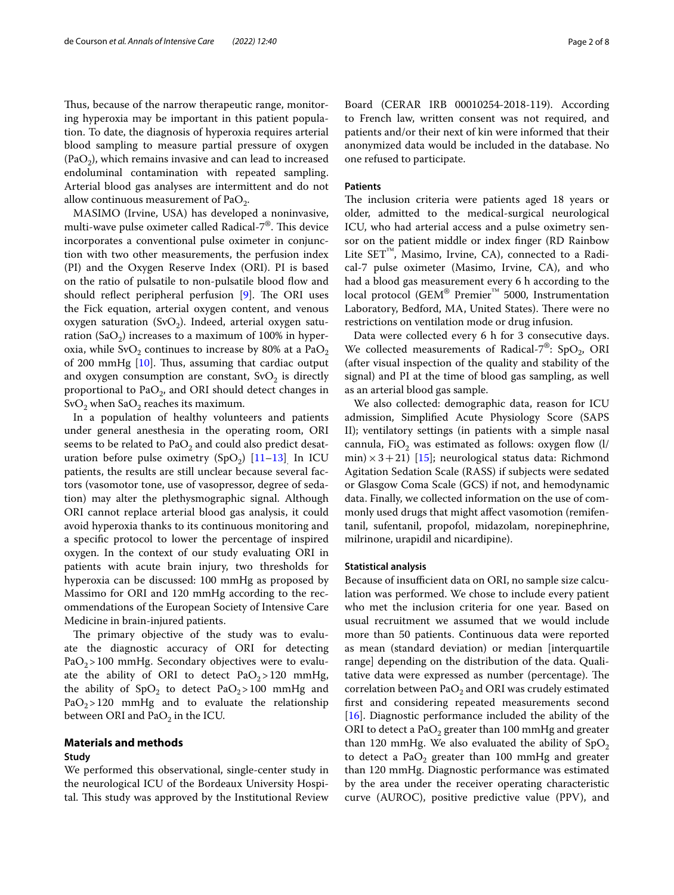Thus, because of the narrow therapeutic range, monitoring hyperoxia may be important in this patient population. To date, the diagnosis of hyperoxia requires arterial blood sampling to measure partial pressure of oxygen  $(PaO<sub>2</sub>)$ , which remains invasive and can lead to increased endoluminal contamination with repeated sampling. Arterial blood gas analyses are intermittent and do not allow continuous measurement of PaO<sub>2</sub>.

MASIMO (Irvine, USA) has developed a noninvasive, multi-wave pulse oximeter called Radical- $7^{\circledast}$ . This device incorporates a conventional pulse oximeter in conjunction with two other measurements, the perfusion index (PI) and the Oxygen Reserve Index (ORI). PI is based on the ratio of pulsatile to non-pulsatile blood fow and should reflect peripheral perfusion  $[9]$  $[9]$ . The ORI uses the Fick equation, arterial oxygen content, and venous oxygen saturation (SvO<sub>2</sub>). Indeed, arterial oxygen saturation (SaO<sub>2</sub>) increases to a maximum of 100% in hyperoxia, while SvO<sub>2</sub> continues to increase by 80% at a PaO<sub>2</sub> of 200 mmHg  $[10]$  $[10]$  $[10]$ . Thus, assuming that cardiac output and oxygen consumption are constant,  $\text{SvO}_2$  is directly proportional to  $PaO<sub>2</sub>$ , and ORI should detect changes in  $\text{SvO}_2$  when  $\text{SaO}_2$  reaches its maximum.

In a population of healthy volunteers and patients under general anesthesia in the operating room, ORI seems to be related to  $PaO<sub>2</sub>$  and could also predict desaturation before pulse oximetry  $(SpO<sub>2</sub>)$  [[11–](#page-7-6)[13](#page-7-7)]. In ICU patients, the results are still unclear because several factors (vasomotor tone, use of vasopressor, degree of sedation) may alter the plethysmographic signal. Although ORI cannot replace arterial blood gas analysis, it could avoid hyperoxia thanks to its continuous monitoring and a specifc protocol to lower the percentage of inspired oxygen. In the context of our study evaluating ORI in patients with acute brain injury, two thresholds for hyperoxia can be discussed: 100 mmHg as proposed by Massimo for ORI and 120 mmHg according to the recommendations of the European Society of Intensive Care Medicine in brain-injured patients.

The primary objective of the study was to evaluate the diagnostic accuracy of ORI for detecting  $PaO<sub>2</sub>$  > 100 mmHg. Secondary objectives were to evaluate the ability of ORI to detect  $PaO<sub>2</sub> > 120$  mmHg, the ability of  $SpO<sub>2</sub>$  to detect  $PaO<sub>2</sub> > 100$  mmHg and  $PaO<sub>2</sub>$  > 120 mmHg and to evaluate the relationship between ORI and  $PaO<sub>2</sub>$  in the ICU.

# **Materials and methods**

### **Study**

We performed this observational, single-center study in the neurological ICU of the Bordeaux University Hospital. This study was approved by the Institutional Review

Board (CERAR IRB 00010254-2018-119). According to French law, written consent was not required, and patients and/or their next of kin were informed that their anonymized data would be included in the database. No one refused to participate.

#### **Patients**

The inclusion criteria were patients aged 18 years or older, admitted to the medical-surgical neurological ICU, who had arterial access and a pulse oximetry sensor on the patient middle or index fnger (RD Rainbow Lite  $SET^M$ , Masimo, Irvine, CA), connected to a Radical-7 pulse oximeter (Masimo, Irvine, CA), and who had a blood gas measurement every 6 h according to the local protocol (GEM® Premier™ 5000, Instrumentation Laboratory, Bedford, MA, United States). There were no restrictions on ventilation mode or drug infusion.

Data were collected every 6 h for 3 consecutive days. We collected measurements of Radical- $7^{\circledast}$ : SpO<sub>2</sub>, ORI (after visual inspection of the quality and stability of the signal) and PI at the time of blood gas sampling, as well as an arterial blood gas sample.

We also collected: demographic data, reason for ICU admission, Simplifed Acute Physiology Score (SAPS II); ventilatory settings (in patients with a simple nasal cannula, FiO<sub>2</sub> was estimated as follows: oxygen flow  $(1/$ min)  $\times$  3+21) [[15\]](#page-7-8); neurological status data: Richmond Agitation Sedation Scale (RASS) if subjects were sedated or Glasgow Coma Scale (GCS) if not, and hemodynamic data. Finally, we collected information on the use of commonly used drugs that might afect vasomotion (remifentanil, sufentanil, propofol, midazolam, norepinephrine, milrinone, urapidil and nicardipine).

#### **Statistical analysis**

Because of insufficient data on ORI, no sample size calculation was performed. We chose to include every patient who met the inclusion criteria for one year. Based on usual recruitment we assumed that we would include more than 50 patients. Continuous data were reported as mean (standard deviation) or median [interquartile range] depending on the distribution of the data. Qualitative data were expressed as number (percentage). The correlation between  $PaO<sub>2</sub>$  and ORI was crudely estimated frst and considering repeated measurements second [[16\]](#page-7-9). Diagnostic performance included the ability of the ORI to detect a PaO<sub>2</sub> greater than 100 mmHg and greater than 120 mmHg. We also evaluated the ability of  $SpO<sub>2</sub>$ to detect a PaO<sub>2</sub> greater than 100 mmHg and greater than 120 mmHg. Diagnostic performance was estimated by the area under the receiver operating characteristic curve (AUROC), positive predictive value (PPV), and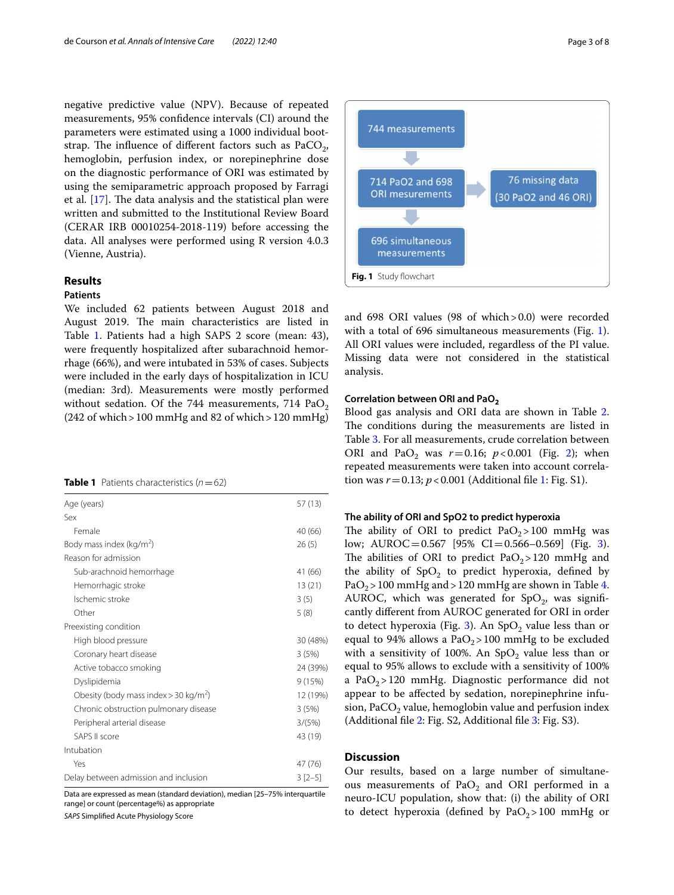negative predictive value (NPV). Because of repeated measurements, 95% confdence intervals (CI) around the parameters were estimated using a 1000 individual bootstrap. The influence of different factors such as  $PaCO<sub>2</sub>$ , hemoglobin, perfusion index, or norepinephrine dose on the diagnostic performance of ORI was estimated by using the semiparametric approach proposed by Farragi et al.  $[17]$  $[17]$ . The data analysis and the statistical plan were written and submitted to the Institutional Review Board (CERAR IRB 00010254-2018-119) before accessing the data. All analyses were performed using R version 4.0.3 (Vienne, Austria).

### **Results**

### **Patients**

We included 62 patients between August 2018 and August 2019. The main characteristics are listed in Table [1.](#page-2-0) Patients had a high SAPS 2 score (mean: 43), were frequently hospitalized after subarachnoid hemorrhage (66%), and were intubated in 53% of cases. Subjects were included in the early days of hospitalization in ICU (median: 3rd). Measurements were mostly performed without sedation. Of the 744 measurements, 714  $PaO<sub>2</sub>$  $(242$  of which > 100 mmHg and 82 of which > 120 mmHg)

<span id="page-2-0"></span>

|  | <b>Table 1</b> Patients characteristics $(n=62)$ |  |
|--|--------------------------------------------------|--|
|--|--------------------------------------------------|--|

| Age (years)                                         | 57(13)   |  |
|-----------------------------------------------------|----------|--|
| Sex                                                 |          |  |
| Female                                              | 40 (66)  |  |
| Body mass index ( $kg/m2$ )                         | 26(5)    |  |
| Reason for admission                                |          |  |
| Sub-arachnoid hemorrhage                            | 41 (66)  |  |
| Hemorrhagic stroke                                  | 13(21)   |  |
| Ischemic stroke                                     | 3(5)     |  |
| Other                                               | 5(8)     |  |
| Preexisting condition                               |          |  |
| High blood pressure                                 | 30 (48%) |  |
| Coronary heart disease                              | 3(5%)    |  |
| Active tobacco smoking                              | 24 (39%) |  |
| Dyslipidemia                                        | 9(15%)   |  |
| Obesity (body mass index $>$ 30 kg/m <sup>2</sup> ) | 12 (19%) |  |
| Chronic obstruction pulmonary disease               | 3(5%)    |  |
| Peripheral arterial disease                         | 3/(5%)   |  |
| SAPS II score                                       | 43 (19)  |  |
| Intubation                                          |          |  |
| Yes                                                 | 47 (76)  |  |
| Delay between admission and inclusion               |          |  |
|                                                     |          |  |

Data are expressed as mean (standard deviation), median [25–75% interquartile range] or count (percentage%) as appropriate

*SAPS* Simplifed Acute Physiology Score



<span id="page-2-1"></span>and 698 ORI values (98 of which>0.0) were recorded with a total of 696 simultaneous measurements (Fig. [1](#page-2-1)). All ORI values were included, regardless of the PI value. Missing data were not considered in the statistical analysis.

#### **Correlation between ORI and PaO<sup>2</sup>**

Blood gas analysis and ORI data are shown in Table [2](#page-3-0). The conditions during the measurements are listed in Table [3](#page-4-0). For all measurements, crude correlation between ORI and PaO<sub>[2](#page-5-0)</sub> was  $r = 0.16$ ;  $p < 0.001$  (Fig. 2); when repeated measurements were taken into account correlation was  $r = 0.13$  $r = 0.13$  $r = 0.13$ ;  $p < 0.001$  (Additional file 1: Fig. S1).

#### **The ability of ORI and SpO2 to predict hyperoxia**

The ability of ORI to predict  $PaO<sub>2</sub> > 100$  mmHg was low;  $\text{AUROC} = 0.567$  [95% CI=0.566-0.569] (Fig. [3](#page-6-1)). The abilities of ORI to predict  $PaO<sub>2</sub>$  > 120 mmHg and the ability of  $SpO<sub>2</sub>$  to predict hyperoxia, defined by PaO<sub>2</sub> > 100 mmHg and > 120 mmHg are shown in Table [4](#page-5-1). AUROC, which was generated for  $SpO<sub>2</sub>$ , was significantly diferent from AUROC generated for ORI in order to detect hyperoxia (Fig. [3](#page-6-1)). An  $SpO<sub>2</sub>$  value less than or equal to 94% allows a  $PaO<sub>2</sub>$  > 100 mmHg to be excluded with a sensitivity of 100%. An  $SpO<sub>2</sub>$  value less than or equal to 95% allows to exclude with a sensitivity of 100% a PaO<sub>2</sub>>120 mmHg. Diagnostic performance did not appear to be afected by sedation, norepinephrine infusion, PaCO<sub>2</sub> value, hemoglobin value and perfusion index (Additional fle [2](#page-6-2): Fig. S2, Additional fle [3:](#page-6-3) Fig. S3).

### **Discussion**

Our results, based on a large number of simultaneous measurements of PaO<sub>2</sub> and ORI performed in a neuro-ICU population, show that: (i) the ability of ORI to detect hyperoxia (defined by  $PaO<sub>2</sub> > 100$  mmHg or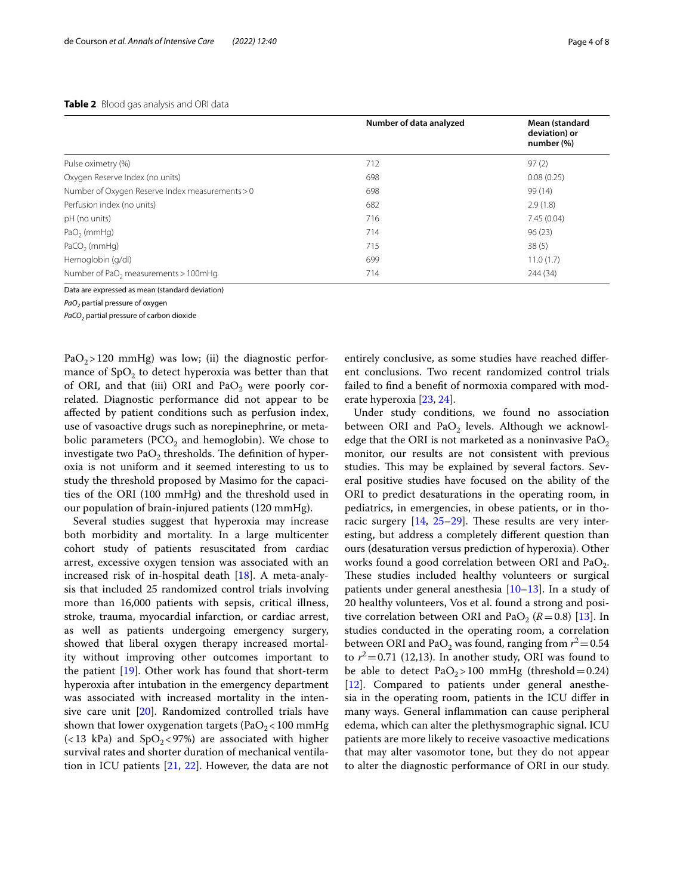#### <span id="page-3-0"></span>**Table 2** Blood gas analysis and ORI data

|                                                  | Number of data analyzed | Mean (standard<br>deviation) or<br>number (%) |  |
|--------------------------------------------------|-------------------------|-----------------------------------------------|--|
| Pulse oximetry (%)                               | 712                     | 97(2)                                         |  |
| Oxygen Reserve Index (no units)                  | 698                     | 0.08(0.25)                                    |  |
| Number of Oxygen Reserve Index measurements > 0  | 698                     | 99 (14)                                       |  |
| Perfusion index (no units)                       | 682                     | 2.9(1.8)                                      |  |
| pH (no units)                                    | 716                     | 7.45(0.04)                                    |  |
| $PaO2$ (mmHg)                                    | 714                     | 96(23)                                        |  |
| $PaCO2$ (mmHg)                                   | 715                     | 38(5)                                         |  |
| Hemoglobin (g/dl)                                | 699                     | 11.0(1.7)                                     |  |
| Number of PaO <sub>2</sub> measurements > 100mHg | 714                     | 244 (34)                                      |  |

Data are expressed as mean (standard deviation)

*PaO2* partial pressure of oxygen

*PaCO2* partial pressure of carbon dioxide

PaO<sub>2</sub>>120 mmHg) was low; (ii) the diagnostic performance of  $SpO<sub>2</sub>$  to detect hyperoxia was better than that of ORI, and that (iii) ORI and  $PaO<sub>2</sub>$  were poorly correlated. Diagnostic performance did not appear to be afected by patient conditions such as perfusion index, use of vasoactive drugs such as norepinephrine, or metabolic parameters ( $PCO<sub>2</sub>$  and hemoglobin). We chose to investigate two  $PaO<sub>2</sub>$  thresholds. The definition of hyperoxia is not uniform and it seemed interesting to us to study the threshold proposed by Masimo for the capacities of the ORI (100 mmHg) and the threshold used in our population of brain-injured patients (120 mmHg).

Several studies suggest that hyperoxia may increase both morbidity and mortality. In a large multicenter cohort study of patients resuscitated from cardiac arrest, excessive oxygen tension was associated with an increased risk of in-hospital death [[18](#page-7-11)]. A meta-analysis that included 25 randomized control trials involving more than 16,000 patients with sepsis, critical illness, stroke, trauma, myocardial infarction, or cardiac arrest, as well as patients undergoing emergency surgery, showed that liberal oxygen therapy increased mortality without improving other outcomes important to the patient [\[19\]](#page-7-12). Other work has found that short-term hyperoxia after intubation in the emergency department was associated with increased mortality in the intensive care unit [\[20](#page-7-13)]. Randomized controlled trials have shown that lower oxygenation targets (PaO<sub>2</sub> < 100 mmHg  $\left($  < 13 kPa) and SpO<sub>2</sub> < 97%) are associated with higher survival rates and shorter duration of mechanical ventilation in ICU patients [[21,](#page-7-14) [22](#page-7-15)]. However, the data are not entirely conclusive, as some studies have reached diferent conclusions. Two recent randomized control trials failed to fnd a beneft of normoxia compared with moderate hyperoxia [\[23,](#page-7-16) [24](#page-7-17)].

Under study conditions, we found no association between ORI and PaO<sub>2</sub> levels. Although we acknowledge that the ORI is not marketed as a noninvasive PaO<sub>2</sub> monitor, our results are not consistent with previous studies. This may be explained by several factors. Several positive studies have focused on the ability of the ORI to predict desaturations in the operating room, in pediatrics, in emergencies, in obese patients, or in thoracic surgery  $[14, 25-29]$  $[14, 25-29]$  $[14, 25-29]$  $[14, 25-29]$  $[14, 25-29]$ . These results are very interesting, but address a completely diferent question than ours (desaturation versus prediction of hyperoxia). Other works found a good correlation between ORI and  $PaO<sub>2</sub>$ . These studies included healthy volunteers or surgical patients under general anesthesia [[10](#page-7-5)[–13](#page-7-7)]. In a study of 20 healthy volunteers, Vos et al. found a strong and positive correlation between ORI and PaO<sub>2</sub>  $(R=0.8)$  [[13](#page-7-7)]. In studies conducted in the operating room, a correlation between ORI and PaO<sub>2</sub> was found, ranging from  $r^2$  = 0.54 to  $r^2$  = 0.71 (12,13). In another study, ORI was found to be able to detect  $PaO<sub>2</sub> > 100$  mmHg (threshold = 0.24) [[12\]](#page-7-21). Compared to patients under general anesthesia in the operating room, patients in the ICU difer in many ways. General infammation can cause peripheral edema, which can alter the plethysmographic signal. ICU patients are more likely to receive vasoactive medications that may alter vasomotor tone, but they do not appear to alter the diagnostic performance of ORI in our study.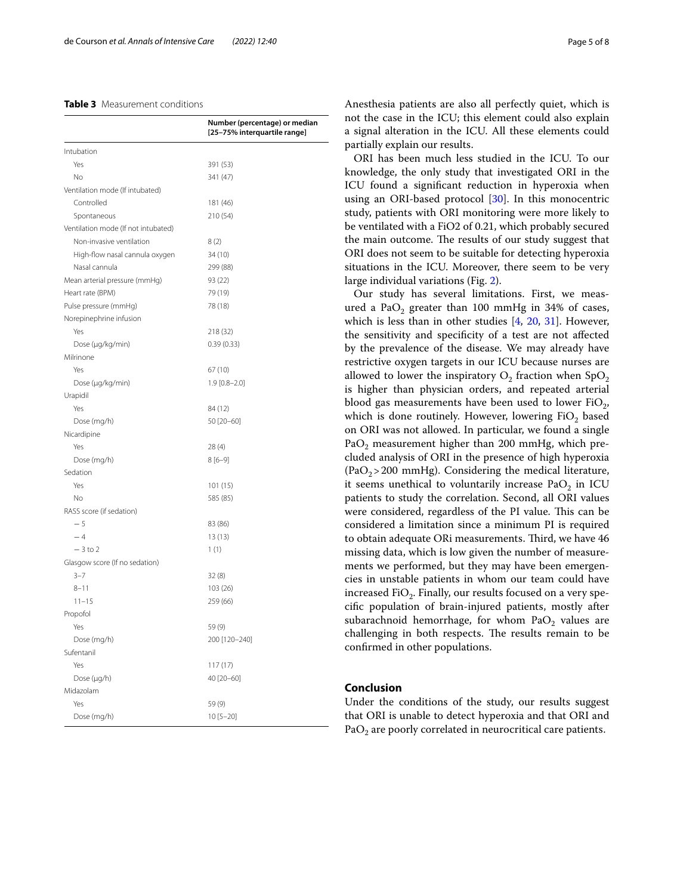#### <span id="page-4-0"></span>**Table 3** Measurement conditions

|                                     | Number (percentage) or median<br>[25-75% interquartile range] |
|-------------------------------------|---------------------------------------------------------------|
| Intubation                          |                                                               |
| Yes                                 | 391 (53)                                                      |
| No                                  | 341 (47)                                                      |
| Ventilation mode (If intubated)     |                                                               |
| Controlled                          | 181 (46)                                                      |
| Spontaneous                         | 210 (54)                                                      |
| Ventilation mode (If not intubated) |                                                               |
| Non-invasive ventilation            | 8(2)                                                          |
| High-flow nasal cannula oxygen      | 34 (10)                                                       |
| Nasal cannula                       | 299 (88)                                                      |
| Mean arterial pressure (mmHg)       | 93 (22)                                                       |
| Heart rate (BPM)                    | 79 (19)                                                       |
| Pulse pressure (mmHg)               | 78 (18)                                                       |
| Norepinephrine infusion             |                                                               |
| Yes                                 | 218 (32)                                                      |
| Dose (µg/kg/min)                    | 0.39(0.33)                                                    |
| Milrinone                           |                                                               |
| Yes                                 | 67 (10)                                                       |
| Dose (µg/kg/min)                    | $1.9$ [0.8-2.0]                                               |
| Urapidil                            |                                                               |
| Yes                                 | 84 (12)                                                       |
| Dose (mg/h)                         | 50 [20-60]                                                    |
| Nicardipine                         |                                                               |
| Yes                                 | 28(4)                                                         |
| Dose (mg/h)                         | $8[6-9]$                                                      |
| Sedation                            |                                                               |
| Yes                                 | 101 (15)                                                      |
| No                                  | 585 (85)                                                      |
| RASS score (if sedation)            |                                                               |
| $-5$                                | 83 (86)                                                       |
| $-4$                                | 13 (13)                                                       |
| $-3$ to 2                           | 1(1)                                                          |
| Glasgow score (If no sedation)      |                                                               |
| $3 - 7$                             | 32(8)                                                         |
| $8 - 11$                            | 103 (26)                                                      |
| $11 - 15$                           | 259 (66)                                                      |
| Propofol                            |                                                               |
| Yes                                 | 59(9)                                                         |
| Dose (mg/h)                         | 200 [120-240]                                                 |
| Sufentanil                          |                                                               |
| Yes                                 | 117 (17)                                                      |
| Dose (µg/h)<br>Midazolam            | 40 [20-60]                                                    |
| Yes                                 |                                                               |
| Dose (mg/h)                         | 59(9)                                                         |
|                                     | 10 [5-20]                                                     |

Anesthesia patients are also all perfectly quiet, which is not the case in the ICU; this element could also explain a signal alteration in the ICU. All these elements could partially explain our results.

ORI has been much less studied in the ICU. To our knowledge, the only study that investigated ORI in the ICU found a signifcant reduction in hyperoxia when using an ORI-based protocol [[30\]](#page-7-22). In this monocentric study, patients with ORI monitoring were more likely to be ventilated with a FiO2 of 0.21, which probably secured the main outcome. The results of our study suggest that ORI does not seem to be suitable for detecting hyperoxia situations in the ICU. Moreover, there seem to be very large individual variations (Fig. [2\)](#page-5-0).

Our study has several limitations. First, we measured a Pa $O_2$  greater than 100 mmHg in 34% of cases, which is less than in other studies [\[4](#page-7-23), [20,](#page-7-13) [31](#page-7-24)]. However, the sensitivity and specifcity of a test are not afected by the prevalence of the disease. We may already have restrictive oxygen targets in our ICU because nurses are allowed to lower the inspiratory  $O_2$  fraction when  $SpO_2$ is higher than physician orders, and repeated arterial blood gas measurements have been used to lower  $FiO_2$ , which is done routinely. However, lowering  $FiO<sub>2</sub>$  based on ORI was not allowed. In particular, we found a single PaO<sub>2</sub> measurement higher than 200 mmHg, which precluded analysis of ORI in the presence of high hyperoxia  $(PaO<sub>2</sub>>200$  mmHg). Considering the medical literature, it seems unethical to voluntarily increase  $PaO<sub>2</sub>$  in ICU patients to study the correlation. Second, all ORI values were considered, regardless of the PI value. This can be considered a limitation since a minimum PI is required to obtain adequate ORi measurements. Third, we have 46 missing data, which is low given the number of measurements we performed, but they may have been emergencies in unstable patients in whom our team could have increased FiO<sub>2</sub>. Finally, our results focused on a very specifc population of brain-injured patients, mostly after subarachnoid hemorrhage, for whom  $PaO<sub>2</sub>$  values are challenging in both respects. The results remain to be confrmed in other populations.

### **Conclusion**

Under the conditions of the study, our results suggest that ORI is unable to detect hyperoxia and that ORI and  $PaO<sub>2</sub>$  are poorly correlated in neurocritical care patients.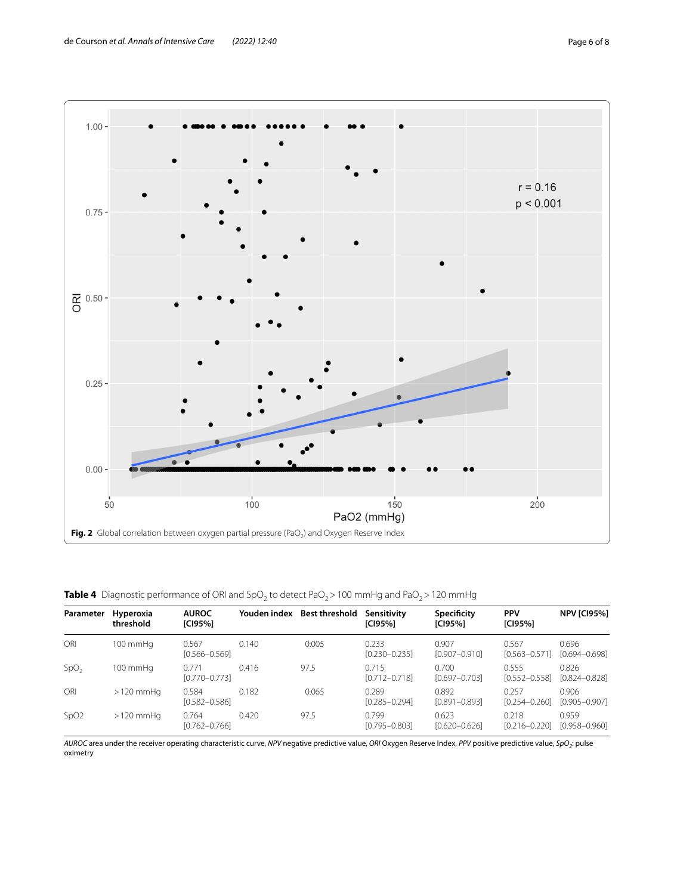

<span id="page-5-1"></span><span id="page-5-0"></span>**Table 4** Diagnostic performance of ORI and SpO<sub>2</sub> to detect PaO<sub>2</sub> > 100 mmHg and PaO<sub>2</sub> > 120 mmHg

| Parameter        | Hyperoxia<br>threshold | <b>AUROC</b><br>[CI95%]    |       | Youden index Best threshold | Sensitivity<br>[CI95%]     | Specificity<br>[CI95%]     | <b>PPV</b><br>[CI95%]      | <b>NPV [CI95%]</b>         |
|------------------|------------------------|----------------------------|-------|-----------------------------|----------------------------|----------------------------|----------------------------|----------------------------|
| ORI              | $100 \text{ mm}$ Hq    | 0.567<br>$[0.566 - 0.569]$ | 0.140 | 0.005                       | 0.233<br>$[0.230 - 0.235]$ | 0.907<br>[0.907-0.910]     | 0.567<br>$[0.563 - 0.571]$ | 0.696<br>$[0.694 - 0.698]$ |
| SpO <sub>2</sub> | 100 mmHg               | 0.771<br>$[0.770 - 0.773]$ | 0.416 | 97.5                        | 0.715<br>$[0.712 - 0.718]$ | 0.700<br>[0.697-0.703]     | 0.555<br>$[0.552 - 0.558]$ | 0.826<br>$[0.824 - 0.828]$ |
| ORI              | $>120$ mmHq            | 0.584<br>$[0.582 - 0.586]$ | 0.182 | 0.065                       | 0.289<br>$[0.285 - 0.294]$ | 0.892<br>$[0.891 - 0.893]$ | 0.257<br>$[0.254 - 0.260]$ | 0.906<br>[0.905-0.907]     |
| SpO2             | $>120$ mmHq            | 0.764<br>$[0.762 - 0.766]$ | 0.420 | 97.5                        | 0.799<br>$[0.795 - 0.803]$ | 0.623<br>$[0.620 - 0.626]$ | 0.218<br>$[0.216 - 0.220]$ | 0.959<br>$[0.958 - 0.960]$ |

*AUROC* area under the receiver operating characteristic curve, *NPV* negative predictive value, *ORI* Oxygen Reserve Index, *PPV* positive predictive value, *SpO2*: pulse oximetry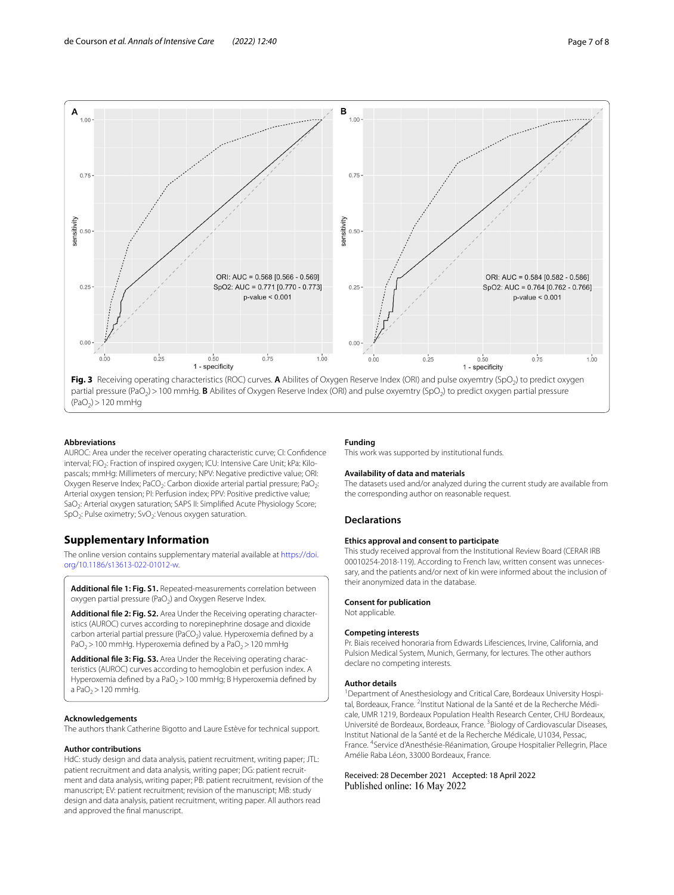

<span id="page-6-1"></span> $(PaO<sub>2</sub>) > 120$  mmHg

#### **Abbreviations**

AUROC: Area under the receiver operating characteristic curve; CI: Confdence interval; FiO<sub>2</sub>: Fraction of inspired oxygen; ICU: Intensive Care Unit; kPa: Kilopascals; mmHg: Millimeters of mercury; NPV: Negative predictive value; ORI: Oxygen Reserve Index; PaCO<sub>2</sub>: Carbon dioxide arterial partial pressure; PaO<sub>2</sub>: Arterial oxygen tension; PI: Perfusion index; PPV: Positive predictive value; SaO<sub>2</sub>: Arterial oxygen saturation; SAPS II: Simplified Acute Physiology Score;  $SpO<sub>2</sub>$ : Pulse oximetry; SvO<sub>2</sub>: Venous oxygen saturation.

### **Supplementary Information**

The online version contains supplementary material available at [https://doi.](https://doi.org/10.1186/s13613-022-01012-w) [org/10.1186/s13613-022-01012-w.](https://doi.org/10.1186/s13613-022-01012-w)

<span id="page-6-0"></span>**Additional fle 1: Fig. S1.** Repeated-measurements correlation between oxygen partial pressure (PaO<sub>2</sub>) and Oxygen Reserve Index.

Additional file 2: Fig. S2. Area Under the Receiving operating characteristics (AUROC) curves according to norepinephrine dosage and dioxide carbon arterial partial pressure (PaCO<sub>2</sub>) value. Hyperoxemia defined by a PaO<sub>2</sub> > 100 mmHg. Hyperoxemia defined by a PaO<sub>2</sub> > 120 mmHg

Additional file 3: Fig. S3. Area Under the Receiving operating characteristics (AUROC) curves according to hemoglobin et perfusion index. A Hyperoxemia defined by a PaO<sub>2</sub> > 100 mmHg; B Hyperoxemia defined by a Pa $O<sub>2</sub>$  > 120 mmHg.

#### **Acknowledgements**

The authors thank Catherine Bigotto and Laure Estève for technical support.

#### **Author contributions**

HdC: study design and data analysis, patient recruitment, writing paper; JTL: patient recruitment and data analysis, writing paper; DG: patient recruitment and data analysis, writing paper; PB: patient recruitment, revision of the manuscript; EV: patient recruitment; revision of the manuscript; MB: study design and data analysis, patient recruitment, writing paper. All authors read and approved the fnal manuscript.

#### **Funding**

This work was supported by institutional funds.

#### **Availability of data and materials**

The datasets used and/or analyzed during the current study are available from the corresponding author on reasonable request.

#### **Declarations**

### **Ethics approval and consent to participate**

This study received approval from the Institutional Review Board (CERAR IRB 00010254-2018-119). According to French law, written consent was unnecessary, and the patients and/or next of kin were informed about the inclusion of their anonymized data in the database.

#### <span id="page-6-2"></span>**Consent for publication**

Not applicable.

#### **Competing interests**

<span id="page-6-3"></span>Pr. Biais received honoraria from Edwards Lifesciences, Irvine, California, and Pulsion Medical System, Munich, Germany, for lectures. The other authors declare no competing interests.

#### **Author details**

<sup>1</sup> Department of Anesthesiology and Critical Care, Bordeaux University Hospital, Bordeaux, France. <sup>2</sup>Institut National de la Santé et de la Recherche Médicale, UMR 1219, Bordeaux Population Health Research Center, CHU Bordeaux, Université de Bordeaux, Bordeaux, France.<sup>3</sup> Biology of Cardiovascular Diseases, Institut National de la Santé et de la Recherche Médicale, U1034, Pessac, France. 4 Service d'Anesthésie-Réanimation, Groupe Hospitalier Pellegrin, Place Amélie Raba Léon, 33000 Bordeaux, France.

#### Received: 28 December 2021 Accepted: 18 April 2022 Published online: 16 May 2022